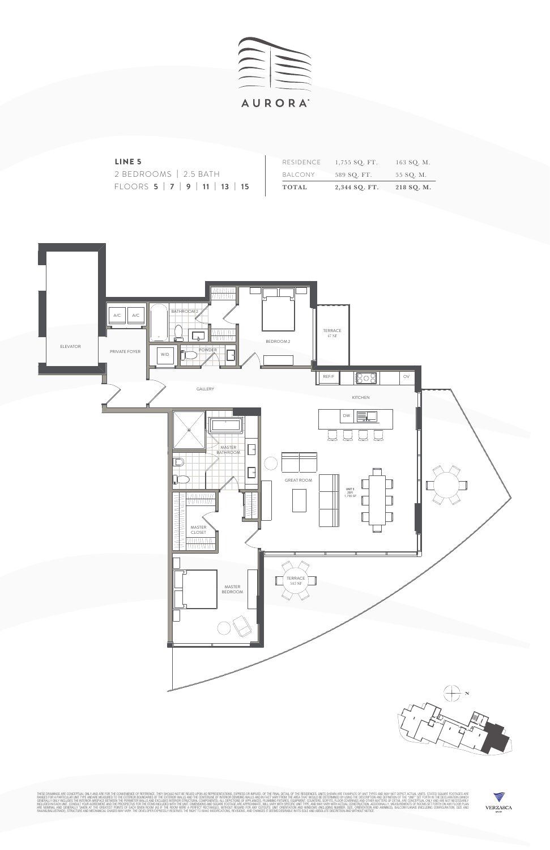









| LINE <sub>5</sub>                                |              | RESIDENCE $1,755$ SQ. FT. | 163 SQ. M. |
|--------------------------------------------------|--------------|---------------------------|------------|
| 2 BEDROOMS   2.5 BATH                            | BALCONY      | 589 SO. FT.               | 55 SQ. M.  |
| FLOORS $5 \mid 7 \mid 9 \mid 11 \mid 13 \mid 15$ | <b>TOTAL</b> | 2,344 SQ. FT.             | 218 SQ. M. |